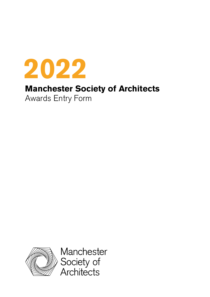

# **Manchester Society of Architects**

Awards Entry Form



Manchester Society of<br>Architects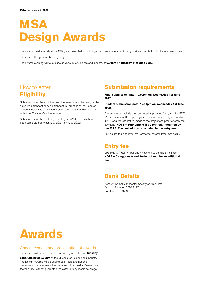# **MSA Design Awards**

The awards, held annually since 1995, are presented for buildings that have made a particularly positive contribution to the local environment. The awards this year will be judged by TBC.

The awards evening will take place at Museum of Science and Industry at **6.30pm** on **Tuesday 21st June 2022**.

# How to enter **Eligibility**

Submissions for the exhibition and the awards must be designed by a qualified architect or by an architectural practice at least one of whose principals is a qualified architect resident in and/or working within the Greater Manchester area.

Submissions for the built project categories (2,4,6,8) must have been completed between May 2021 and May 2022.

# **Submission requirements**

**Final submission date: 12.00pm on Wednesday 1st June 2022.** 

#### **Student submission date: 12.00pm on Wednesday 1st June 2022.**

The entry must include the completed application form, a digital PDF (A1 landscape at 300 dpi) of your exhibition board, a high resolution JPEG of a representative image of the project and proof of entry fee payment. **NOTE – Your entry will be printed / mounted by the MSA. The cost of this is included in the entry fee.**

Entries are to be sent via WeTransfer to: awards@the-msa.co.uk.

# **Entry fee**

£95 plus VAT (£114) per entry. Payment to be made via Bacs. **NOTE – Categories 9 and 10 do not require an aditional fee.** 

# **Bank Details**

Account Name: Manchester Society of Architects Account Number: 65538177 Sort Code: 08-92-99

# **Awards**

### Announcement and presentation of awards

The awards will be presented at an evening reception on **Tuesday**

21st June 2022 6.30pm at the Museum of Science and Industry. The Design Awards will be publicised in local and national professional trade journals, the press and other media. Please note that the MSA cannot guarantee the extent of any media coverage.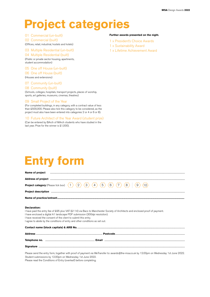# **Project categories**

## 01 Commercial (un-built)

02 Commercial (built)

(Offices, retail, industrial, hostels and hotels)

## 03 Multiple Residential (un-built)

## 04 Multiple Residential (built)

(Public or private sector housing, apartments, student accommodation)

## 05 One off House (un-built)

06 One off House (built)

(Houses and extensions)

## 07 Community (un-built)

## 08 Community (built)

(Schools, colleges, hospitals, transport projects, places of worship, sports, art galleries, museums, cinemas, theatres)

#### 09 Small Project of the Year

(For completed buildings, in any category, with a contract value of less than £500,000. Please also tick this category to be considered, as the project must also have been entered into categories 2 or 4 or 6 or 8).

### 10 Future Architect of the Year Award (student prize)

(Can be entered by BArch of MArch students who have studied in the last year. Prize for the winner is £1,000).

### **Further awards presented on the night.**

- 1 x President's Choice Awards
- 1 x Sustainability Award
- 1 x Lifetime Achievement Award

# **Entry form**

| Name of project                                                                                                                                                                                                                               |                                                                                                                                                                                                                                               |
|-----------------------------------------------------------------------------------------------------------------------------------------------------------------------------------------------------------------------------------------------|-----------------------------------------------------------------------------------------------------------------------------------------------------------------------------------------------------------------------------------------------|
|                                                                                                                                                                                                                                               | Address of project <b>with a construction of a construction of the construction</b> of project <b>with a construction of a construction</b> of a construction of project <b>with a construction of the construction</b> of the construction o |
| <b>Project category</b> (Please tick box)                                                                                                                                                                                                     | 5<br>$\mathbf{2}$<br>3                                                                                                                                                                                                                        |
|                                                                                                                                                                                                                                               |                                                                                                                                                                                                                                               |
|                                                                                                                                                                                                                                               |                                                                                                                                                                                                                                               |
| Declaration:<br>I have enclosed a digital A1 landscape PDF submission (300dpi resolution).<br>I have received the consent of the client to submit this entry.<br>I agree to abide by the conditions of entry and other conditions as set out. | I have paid the entry fee of £95 plus VAT (£114) via Bacs to Manchester Society of Architects and enclosed proof of payment.                                                                                                                  |
|                                                                                                                                                                                                                                               | Contact name (block capitals) & ARB No. 2006 2014 2014 2015 2016 2017 2018 2019 2016 2017 2018 2019 2019 2019                                                                                                                                 |
|                                                                                                                                                                                                                                               |                                                                                                                                                                                                                                               |
|                                                                                                                                                                                                                                               |                                                                                                                                                                                                                                               |
|                                                                                                                                                                                                                                               |                                                                                                                                                                                                                                               |
|                                                                                                                                                                                                                                               | $\sim$ 111 it is the state of the Holden and the state of the state of the state of the state of the state of the state of the state of the state of the state of the state of the state of the state of the state of the state               |

Please send the entry form, together with proof of payment via WeTransfer to: awards@the-msa.co.uk by 12.00pm on Wednesday 1st June 2022. Student submissions by 12.00pm on Wednesday 1st June 2022. Please read the Conditions of Entry (overleaf) before completing.